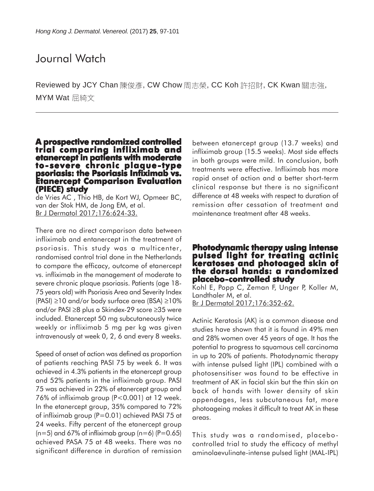# Journal Watch

Reviewed by JCY Chan 陳俊彥, CW Chow 周志榮, CC Koh 許招財, CK Kwan 關志強, MYM Wat 屈綺文

### **A prospective randomized controlled trial comparing infliximab and etanercept in patients with moderate** psoriasis: the Psoriasis Infiximab vs. **Etanercept Comparison Evaluation (PIECE) study**

de Vries AC , Thio HB, de Kort WJ, Opmeer BC, van der Stok HM, de Jong EM, et al. Br J Dermatol 2017;176:624-33.

There are no direct comparison data between infliximab and entanercept in the treatment of psoriasis. This study was a multicenter, randomised control trial done in the Netherlands to compare the efficacy, outcome of etanercept vs. infliximab in the management of moderate to severe chronic plaque psoriasis. Patients (age 18- 75 years old) with Psoriasis Area and Severity Index (PASI) ≥10 and/or body surface area (BSA) ≥10% and/or PASI ≥8 plus a Skindex-29 score ≥35 were included. Etanercept 50 mg subcutaneously twice weekly or infliximab 5 mg per kg was given intravenously at week 0, 2, 6 and every 8 weeks.

Speed of onset of action was defined as proportion of patients reaching PASI 75 by week 6. It was achieved in 4.3% patients in the etanercept group and 52% patients in the infliximab group. PASI 75 was achieved in 22% of etanercept group and 76% of infliximab group (P<0.001) at 12 week. In the etanercept group, 35% compared to 72% of infliximab group (P=0.01) achieved PASI 75 at 24 weeks. Fifty percent of the etanercept group  $(n=5)$  and 67% of infliximab group  $(n=6)$  (P=0.65) achieved PASA 75 at 48 weeks. There was no significant difference in duration of remission

between etanercept group (13.7 weeks) and infliximab group (15.5 weeks). Most side effects in both groups were mild. In conclusion, both treatments were effective. Infliximab has more rapid onset of action and a better short-term clinical response but there is no significant difference at 48 weeks with respect to duration of remission after cessation of treatment and maintenance treatment after 48 weeks.

#### **Photodynamic therapy using intense pulsed light for treating actinic keratoses and photoaged skin of eratoses and skin of the dorsal hands: a randomized placebo-controlled study**

Kohl E, Popp C, Zeman F, Unger P, Koller M, Landthaler M, et al. Br J Dermatol 2017;176:352-62.

Actinic Keratosis (AK) is a common disease and studies have shown that it is found in 49% men and 28% women over 45 years of age. It has the potential to progress to squamous cell carcinoma in up to 20% of patients. Photodynamic therapy with intense pulsed light (IPL) combined with a photosensitiser was found to be effective in treatment of AK in facial skin but the thin skin on back of hands with lower density of skin appendages, less subcutaneous fat, more photoageing makes it difficult to treat AK in these areas.

This study was a randomised, placebocontrolled trial to study the efficacy of methyl aminolaevulinate-intense pulsed light (MAL-IPL)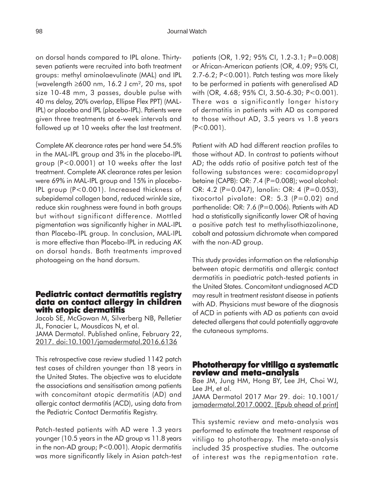on dorsal hands compared to IPL alone. Thirtyseven patients were recruited into both treatment groups: methyl aminolaevulinate (MAL) and IPL (wavelength ≥600 nm, 16.2 J cm², 20 ms, spot size 10-48 mm, 3 passes, double pulse with 40 ms delay, 20% overlap, Ellipse Flex PPT) (MAL-IPL) or placebo and IPL (placebo-IPL). Patients were given three treatments at 6-week intervals and followed up at 10 weeks after the last treatment.

Complete AK clearance rates per hand were 54.5% in the MAL-IPL group and 3% in the placebo-IPL group (P<0.0001) at 10 weeks after the last treatment. Complete AK clearance rates per lesion were 69% in MAL-IPL group and 15% in placebo-IPL group (P<0.001). Increased thickness of subepidemal collagen band, reduced wrinkle size, reduce skin roughness were found in both groups but without significant difference. Mottled pigmentation was significantly higher in MAL-IPL than Placebo-IPL group. In conclusion, MAL-IPL is more effective than Placebo-IPL in reducing AK on dorsal hands. Both treatments improved photoageing on the hand dorsum.

#### **Pediatric contact dermatitis registry data on contact allergy in children with atopic dermatitis**

Jacob SE, McGowan M, Silverberg NB, Pelletier JL, Fonacier L, Mousdicas N, et al. JAMA Dermatol. Published online, February 22, 2017. doi:10.1001/jamadermatol.2016.6136

This retrospective case review studied 1142 patch test cases of children younger than 18 years in the United States. The objective was to elucidate the associations and sensitisation among patients with concomitant atopic dermatitis (AD) and allergic contact dermatitis (ACD), using data from the Pediatric Contact Dermatitis Registry.

Patch-tested patients with AD were 1.3 years younger (10.5 years in the AD group vs 11.8 years in the non-AD group; P<0.001). Atopic dermatitis was more significantly likely in Asian patch-test patients (OR, 1.92; 95% CI, 1.2-3.1; P=0.008) or African-American patients (OR, 4.09; 95% CI, 2.7-6.2; P<0.001). Patch testing was more likely to be performed in patients with generalised AD with (OR, 4.68; 95% CI, 3.50-6.30; P<0.001). There was a significantly longer history of dermatitis in patients with AD as compared to those without AD, 3.5 years vs 1.8 years  $(P<0.001)$ .

Patient with AD had different reaction profiles to those without AD. In contrast to patients without AD; the odds ratio of positive patch test of the following substances were: cocamidopropyl betaine (CAPB): OR: 7.4 (P=0.008); wool alcohol: OR: 4.2 (P=0.047), lanolin: OR: 4 (P=0.053), tixocortol pivalate: OR: 5.3 (P=0.02) and parthenolide: OR: 7.6 (P=0.006). Patients with AD had a statistically significantly lower OR of having a positive patch test to methylisothiazolinone, cobalt and potassium dichromate when compared with the non-AD group.

This study provides information on the relationship between atopic dermatitis and allergic contact dermatitis in paediatric patch-tested patients in the United States. Concomitant undiagnosed ACD may result in treatment resistant disease in patients with AD. Physicians must beware of the diagnosis of ACD in patients with AD as patients can avoid detected allergens that could potentially aggravate the cutaneous symptoms.

#### **Phototherapy for vitiligo a systematic review and meta-analysis**

Bae JM, Jung HM, Hong BY, Lee JH, Choi WJ, Lee JH, et al. JAMA Dermatol 2017 Mar 29. doi: 10.1001/ jamadermatol.2017.0002. [Epub ahead of print]

This systemic review and meta-analysis was performed to estimate the treatment response of vitiligo to phototherapy. The meta-analysis included 35 prospective studies. The outcome of interest was the repigmentation rate.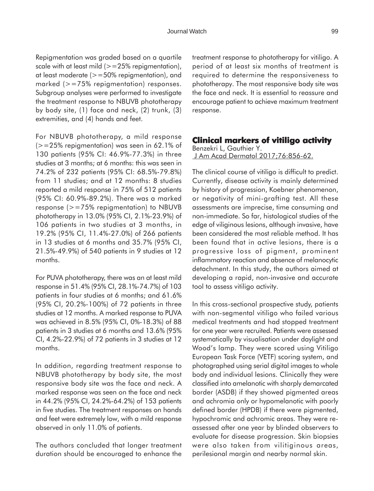Repigmentation was graded based on a quartile scale with at least mild  $(>=25\%$  repigmentation), at least moderate (>=50% repigmentation), and marked (>=75% repigmentation) responses. Subgroup analyses were performed to investigate the treatment response to NBUVB phototherapy by body site, (1) face and neck, (2) trunk, (3) extremities, and (4) hands and feet.

For NBUVB phototherapy, a mild response  $(>=25\%$  repigmentation) was seen in 62.1% of 130 patients (95% CI: 46.9%-77.3%) in three studies at 3 months; at 6 months: this was seen in 74.2% of 232 patients (95% CI: 68.5%-79.8%) from 11 studies; and at 12 months: 8 studies reported a mild response in 75% of 512 patients (95% CI: 60.9%-89.2%). There was a marked response ( $> = 75\%$  repigmentation) to NBUVB phototherapy in 13.0% (95% CI, 2.1%-23.9%) of 106 patients in two studies at 3 months, in 19.2% (95% CI, 11.4%-27.0%) of 266 patients in 13 studies at 6 months and 35.7% (95% CI, 21.5%-49.9%) of 540 patients in 9 studies at 12 months.

For PUVA phototherapy, there was an at least mild response in 51.4% (95% CI, 28.1%-74.7%) of 103 patients in four studies at 6 months; and 61.6% (95% CI, 20.2%-100%) of 72 patients in three studies at 12 months. A marked response to PUVA was achieved in 8.5% (95% CI, 0%-18.3%) of 88 patients in 3 studies at 6 months and 13.6% (95% CI, 4.2%-22.9%) of 72 patients in 3 studies at 12 months.

In addition, regarding treatment response to NBUVB phototherapy by body site, the most responsive body site was the face and neck. A marked response was seen on the face and neck in 44.2% (95% CI, 24.2%-64.2%) of 153 patients in five studies. The treatment responses on hands and feet were extremely low, with a mild response observed in only 11.0% of patients.

The authors concluded that longer treatment duration should be encouraged to enhance the treatment response to phototherapy for vitiligo. A period of at least six months of treatment is required to determine the responsiveness to phototherapy. The most responsive body site was the face and neck. It is essential to reassure and encourage patient to achieve maximum treatment response.

### **Clinical markers of vitiligo activity**

Benzekri L, Gauthier Y. J Am Acad Dermatol 2017;76:856-62.

The clinical course of vitiligo is difficult to predict. Currently, disease activity is mainly determined by history of progression, Koebner phenomenon, or negativity of mini-grafting test. All these assessments are imprecise, time consuming and non-immediate. So far, histological studies of the edge of viliginous lesions, although invasive, have been considered the most reliable method. It has been found that in active lesions, there is a progressive loss of pigment, prominent inflammatory reaction and absence of melanocytic detachment. In this study, the authors aimed at developing a rapid, non-invasive and accurate tool to assess vitiligo activity.

In this cross-sectional prospective study, patients with non-segmental vitiligo who failed various medical treatments and had stopped treatment for one year were recruited. Patients were assessed systematically by visualisation under daylight and Wood's lamp. They were scored using Vitiligo European Task Force (VETF) scoring system, and photographed using serial digital images to whole body and individual lesions. Clinically they were classified into amelanotic with sharply demarcated border (ASDB) if they showed pigmented areas and achromia only or hypomelanotic with poorly defined border (HPDB) if there were pigmented, hypochromic and achromic areas. They were reassessed after one year by blinded observers to evaluate for disease progression. Skin biopsies were also taken from vilitiginous areas, perilesional margin and nearby normal skin.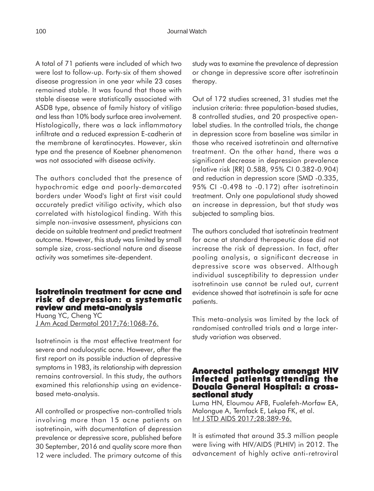A total of 71 patients were included of which two were lost to follow-up. Forty-six of them showed disease progression in one year while 23 cases remained stable. It was found that those with stable disease were statistically associated with ASDB type, absence of family history of vitiligo and less than 10% body surface area involvement. Histologically, there was a lack inflammatory infiltrate and a reduced expression E-cadherin at the membrane of keratinocytes. However, skin type and the presence of Koebner phenomenon was not associated with disease activity.

The authors concluded that the presence of hypochromic edge and poorly-demarcated borders under Wood's light at first visit could accurately predict vitiligo activity, which also correlated with histological finding. With this simple non-invasive assessment, physicians can decide on suitable treatment and predict treatment outcome. However, this study was limited by small sample size, cross-sectional nature and disease activity was sometimes site-dependent.

#### **Isotretinoin treatment for acne and risk of depression: a systematic review and meta-analysis**

Huang YC, Cheng YC J Am Acad Dermatol 2017;76:1068-76.

Isotretinoin is the most effective treatment for severe and nodulocystic acne. However, after the first report on its possible induction of depressive symptoms in 1983, its relationship with depression remains controversial. In this study, the authors examined this relationship using an evidencebased meta-analysis.

All controlled or prospective non-controlled trials involving more than 15 acne patients on isotretinoin, with documentation of depression prevalence or depressive score, published before 30 September, 2016 and quality score more than 12 were included. The primary outcome of this study was to examine the prevalence of depression or change in depressive score after isotretinoin therapy.

Out of 172 studies screened, 31 studies met the inclusion criteria: three population-based studies, 8 controlled studies, and 20 prospective openlabel studies. In the controlled trials, the change in depression score from baseline was similar in those who received isotretinoin and alternative treatment. On the other hand, there was a significant decrease in depression prevalence (relative risk [RR] 0.588, 95% CI 0.382-0.904) and reduction in depression score (SMD -0.335, 95% CI -0.498 to -0.172) after isotretinoin treatment. Only one populational study showed an increase in depression, but that study was subjected to sampling bias.

The authors concluded that isotretinoin treatment for acne at standard therapeutic dose did not increase the risk of depression. In fact, after pooling analysis, a significant decrease in depressive score was observed. Although individual susceptibility to depression under isotretinoin use cannot be ruled out, current evidence showed that isotretinoin is safe for acne patients.

This meta-analysis was limited by the lack of randomised controlled trials and a large interstudy variation was observed.

## **Anorectal pathology amongst HIV infected patients attending the Douala General Hospital: a cross- sectional study**

Luma HN, Eloumou AFB, Fualefeh-Morfaw EA, Malongue A, Temfack E, Lekpa FK, et al. <u>Int J STD AIDS 2017;28:389-96.</u>

It is estimated that around 35.3 million people were living with HIV/AIDS (PLHIV) in 2012. The advancement of highly active anti-retroviral